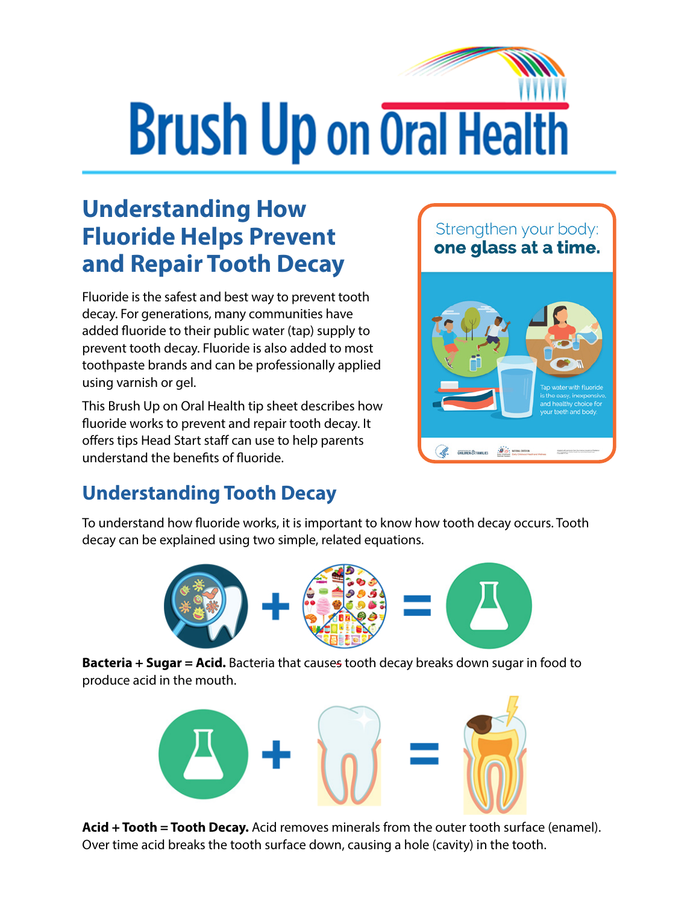# **Brush Up on Oral Health**

## **Understanding How Fluoride Helps Prevent and Repair Tooth Decay**

Fluoride is the safest and best way to prevent tooth decay. For generations, many communities have added fluoride to their public water (tap) supply to prevent tooth decay. Fluoride is also added to most toothpaste brands and can be professionally applied using varnish or gel.

This Brush Up on Oral Health tip sheet describes how fluoride works to prevent and repair tooth decay. It offers tips Head Start staff can use to help parents understand the benefits of fluoride.

#### Strengthen your body: one glass at a time.



#### **Understanding Tooth Decay**

To understand how fluoride works, it is important to know how tooth decay occurs. Tooth decay can be explained using two simple, related equations.



**Bacteria + Sugar = Acid.** Bacteria that causes tooth decay breaks down sugar in food to produce acid in the mouth.



**Acid + Tooth = Tooth Decay.** Acid removes minerals from the outer tooth surface (enamel). Over time acid breaks the tooth surface down, causing a hole (cavity) in the tooth.